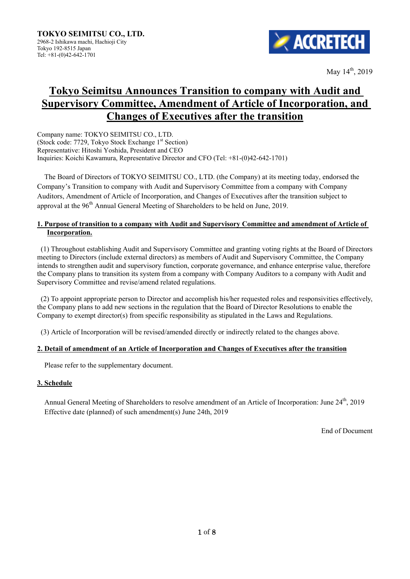

May  $14^{th}$ , 2019

# **Tokyo Seimitsu Announces Transition to company with Audit and Supervisory Committee, Amendment of Article of Incorporation, and Changes of Executives after the transition**

Company name: TOKYO SEIMITSU CO., LTD. (Stock code: 7729, Tokyo Stock Exchange 1st Section) Representative: Hitoshi Yoshida, President and CEO Inquiries: Koichi Kawamura, Representative Director and CFO (Tel: +81-(0)42-642-1701)

The Board of Directors of TOKYO SEIMITSU CO., LTD. (the Company) at its meeting today, endorsed the Company's Transition to company with Audit and Supervisory Committee from a company with Company Auditors, Amendment of Article of Incorporation, and Changes of Executives after the transition subject to approval at the  $96<sup>th</sup>$  Annual General Meeting of Shareholders to be held on June, 2019.

## **1. Purpose of transition to a company with Audit and Supervisory Committee and amendment of Article of Incorporation.**

 (1) Throughout establishing Audit and Supervisory Committee and granting voting rights at the Board of Directors meeting to Directors (include external directors) as members of Audit and Supervisory Committee, the Company intends to strengthen audit and supervisory function, corporate governance, and enhance enterprise value, therefore the Company plans to transition its system from a company with Company Auditors to a company with Audit and Supervisory Committee and revise/amend related regulations.

(2) To appoint appropriate person to Director and accomplish his/her requested roles and responsivities effectively, the Company plans to add new sections in the regulation that the Board of Director Resolutions to enable the Company to exempt director(s) from specific responsibility as stipulated in the Laws and Regulations.

(3) Article of Incorporation will be revised/amended directly or indirectly related to the changes above.

## **2. Detail of amendment of an Article of Incorporation and Changes of Executives after the transition**

Please refer to the supplementary document.

## **3. Schedule**

Annual General Meeting of Shareholders to resolve amendment of an Article of Incorporation: June 24<sup>th</sup>, 2019 Effective date (planned) of such amendment(s) June 24th, 2019

End of Document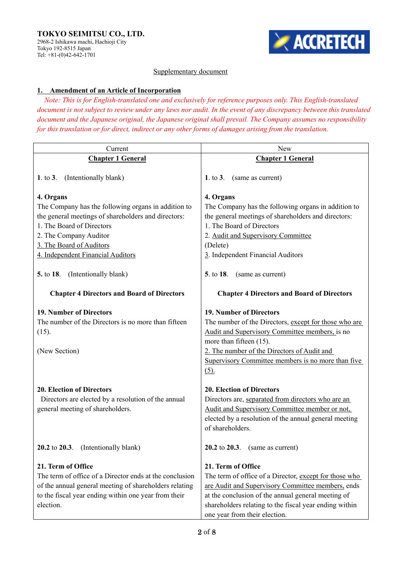

## Supplementary document

## **1. Amendment of an Article of Incorporation**

*Note: This is for English-translated one and exclusively for reference purposes only. This English-translated document is not subject to review under any laws nor audit. In the event of any discrepancy between this translated document and the Japanese original, the Japanese original shall prevail. The Company assumes no responsibility for this translation or for direct, indirect or any other forms of damages arising from the translation.* 

| Current                                                                                                                                                                                                                                                                            | <b>New</b>                                                                                                                                                                                                                                                                           |
|------------------------------------------------------------------------------------------------------------------------------------------------------------------------------------------------------------------------------------------------------------------------------------|--------------------------------------------------------------------------------------------------------------------------------------------------------------------------------------------------------------------------------------------------------------------------------------|
| <b>Chapter 1 General</b>                                                                                                                                                                                                                                                           | <b>Chapter 1 General</b>                                                                                                                                                                                                                                                             |
| (Intentionally blank)<br>1. to $3$ .                                                                                                                                                                                                                                               | 1. to $3$ .<br>(same as current)                                                                                                                                                                                                                                                     |
| 4. Organs<br>The Company has the following organs in addition to<br>the general meetings of shareholders and directors:<br>1. The Board of Directors<br>2. The Company Auditor<br>3. The Board of Auditors<br>4. Independent Financial Auditors<br>5. to 18. (Intentionally blank) | 4. Organs<br>The Company has the following organs in addition to<br>the general meetings of shareholders and directors:<br>1. The Board of Directors<br>2. Audit and Supervisory Committee<br>(Delete)<br>3. Independent Financial Auditors<br><b>5.</b> to 18.<br>(same as current) |
| <b>Chapter 4 Directors and Board of Directors</b>                                                                                                                                                                                                                                  | <b>Chapter 4 Directors and Board of Directors</b>                                                                                                                                                                                                                                    |
| 19. Number of Directors<br>The number of the Directors is no more than fifteen<br>(15).<br>(New Section)                                                                                                                                                                           | 19. Number of Directors<br>The number of the Directors, except for those who are<br>Audit and Supervisory Committee members, is no<br>more than fifteen (15).<br>2. The number of the Directors of Audit and<br>Supervisory Committee members is no more than five<br>$(5)$ .        |
| <b>20. Election of Directors</b><br>Directors are elected by a resolution of the annual<br>general meeting of shareholders.                                                                                                                                                        | <b>20. Election of Directors</b><br>Directors are, separated from directors who are an<br>Audit and Supervisory Committee member or not,<br>elected by a resolution of the annual general meeting<br>of shareholders.                                                                |
| 20.2 to 20.3. (Intentionally blank)                                                                                                                                                                                                                                                | 20.2 to $20.3$ . (same as current)                                                                                                                                                                                                                                                   |
| 21. Term of Office<br>The term of office of a Director ends at the conclusion<br>of the annual general meeting of shareholders relating<br>to the fiscal year ending within one year from their<br>election.                                                                       | 21. Term of Office<br>The term of office of a Director, except for those who<br>are Audit and Supervisory Committee members, ends<br>at the conclusion of the annual general meeting of<br>shareholders relating to the fiscal year ending within<br>one year from their election.   |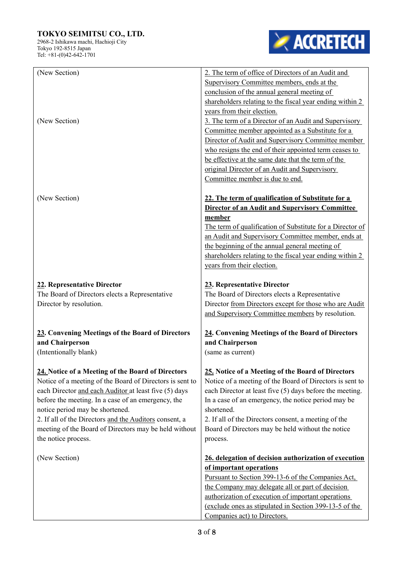## **TOKYO SEIMITSU CO., LTD.**

2968-2 Ishikawa machi, Hachioji City Tokyo 192-8515 Japan Tel: +81-(0)42-642-1701



| (New Section)<br>(New Section)                                                                                                                                                                                                                                                                                                                                                                            | 2. The term of office of Directors of an Audit and<br>Supervisory Committee members, ends at the<br>conclusion of the annual general meeting of<br>shareholders relating to the fiscal year ending within 2<br>years from their election.<br>3. The term of a Director of an Audit and Supervisory<br>Committee member appointed as a Substitute for a<br>Director of Audit and Supervisory Committee member<br>who resigns the end of their appointed term ceases to<br>be effective at the same date that the term of the |
|-----------------------------------------------------------------------------------------------------------------------------------------------------------------------------------------------------------------------------------------------------------------------------------------------------------------------------------------------------------------------------------------------------------|-----------------------------------------------------------------------------------------------------------------------------------------------------------------------------------------------------------------------------------------------------------------------------------------------------------------------------------------------------------------------------------------------------------------------------------------------------------------------------------------------------------------------------|
| (New Section)                                                                                                                                                                                                                                                                                                                                                                                             | original Director of an Audit and Supervisory<br>Committee member is due to end.<br>22. The term of qualification of Substitute for a<br><b>Director of an Audit and Supervisory Committee</b><br>member                                                                                                                                                                                                                                                                                                                    |
|                                                                                                                                                                                                                                                                                                                                                                                                           | The term of qualification of Substitute for a Director of<br>an Audit and Supervisory Committee member, ends at<br>the beginning of the annual general meeting of<br>shareholders relating to the fiscal year ending within 2<br>years from their election.                                                                                                                                                                                                                                                                 |
| 22. Representative Director<br>The Board of Directors elects a Representative<br>Director by resolution.                                                                                                                                                                                                                                                                                                  | 23. Representative Director<br>The Board of Directors elects a Representative<br>Director from Directors except for those who are Audit<br>and Supervisory Committee members by resolution.                                                                                                                                                                                                                                                                                                                                 |
| 23. Convening Meetings of the Board of Directors<br>and Chairperson<br>(Intentionally blank)                                                                                                                                                                                                                                                                                                              | 24. Convening Meetings of the Board of Directors<br>and Chairperson<br>(same as current)                                                                                                                                                                                                                                                                                                                                                                                                                                    |
| 24. Notice of a Meeting of the Board of Directors<br>Notice of a meeting of the Board of Directors is sent to<br>each Director and each Auditor at least five (5) days<br>before the meeting. In a case of an emergency, the<br>notice period may be shortened.<br>2. If all of the Directors and the Auditors consent, a<br>meeting of the Board of Directors may be held without<br>the notice process. | 25. Notice of a Meeting of the Board of Directors<br>Notice of a meeting of the Board of Directors is sent to<br>each Director at least five (5) days before the meeting.<br>In a case of an emergency, the notice period may be<br>shortened.<br>2. If all of the Directors consent, a meeting of the<br>Board of Directors may be held without the notice<br>process.                                                                                                                                                     |
| (New Section)                                                                                                                                                                                                                                                                                                                                                                                             | 26. delegation of decision authorization of execution<br>of important operations<br>Pursuant to Section 399-13-6 of the Companies Act,<br>the Company may delegate all or part of decision<br>authorization of execution of important operations<br>(exclude ones as stipulated in Section 399-13-5 of the<br>Companies act) to Directors.                                                                                                                                                                                  |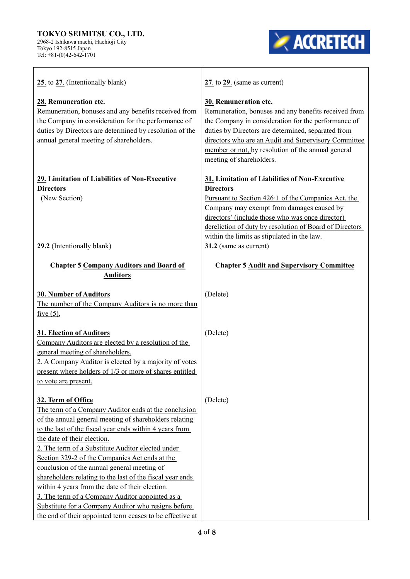#### **TOKYO SEIMITSU CO., LTD.**  2968-2 Ishikawa machi, Hachioji City Tokyo 192-8515 Japan

Tel: +81-(0)42-642-1701

**EXACCRETECH** 

| 25. to 27. (Intentionally blank)                                                                                                                                                                                                                                                                                                                                                                                                                                                                                                                                                                                                                                            | $27.$ to $29.$ (same as current)                                                                                                                                                                                                                                                                                                                                       |
|-----------------------------------------------------------------------------------------------------------------------------------------------------------------------------------------------------------------------------------------------------------------------------------------------------------------------------------------------------------------------------------------------------------------------------------------------------------------------------------------------------------------------------------------------------------------------------------------------------------------------------------------------------------------------------|------------------------------------------------------------------------------------------------------------------------------------------------------------------------------------------------------------------------------------------------------------------------------------------------------------------------------------------------------------------------|
| 28. Remuneration etc.<br>Remuneration, bonuses and any benefits received from<br>the Company in consideration for the performance of<br>duties by Directors are determined by resolution of the<br>annual general meeting of shareholders.                                                                                                                                                                                                                                                                                                                                                                                                                                  | 30. Remuneration etc.<br>Remuneration, bonuses and any benefits received from<br>the Company in consideration for the performance of<br>duties by Directors are determined, separated from<br>directors who are an Audit and Supervisory Committee<br>member or not, by resolution of the annual general<br>meeting of shareholders.                                   |
| 29. Limitation of Liabilities of Non-Executive<br><b>Directors</b><br>(New Section)<br>29.2 (Intentionally blank)                                                                                                                                                                                                                                                                                                                                                                                                                                                                                                                                                           | 31. Limitation of Liabilities of Non-Executive<br><b>Directors</b><br>Pursuant to Section $426 \cdot 1$ of the Companies Act, the<br>Company may exempt from damages caused by<br>directors' (include those who was once director)<br>dereliction of duty by resolution of Board of Directors<br>within the limits as stipulated in the law.<br>31.2 (same as current) |
| <b>Chapter 5 Company Auditors and Board of</b><br><b>Auditors</b>                                                                                                                                                                                                                                                                                                                                                                                                                                                                                                                                                                                                           | <b>Chapter 5 Audit and Supervisory Committee</b>                                                                                                                                                                                                                                                                                                                       |
| 30. Number of Auditors<br>The number of the Company Auditors is no more than<br>five $(5)$ .                                                                                                                                                                                                                                                                                                                                                                                                                                                                                                                                                                                | (Delete)                                                                                                                                                                                                                                                                                                                                                               |
| 31. Election of Auditors<br>Company Auditors are elected by a resolution of the<br>general meeting of shareholders.<br>2. A Company Auditor is elected by a majority of votes<br>present where holders of 1/3 or more of shares entitled<br>to vote are present.                                                                                                                                                                                                                                                                                                                                                                                                            | (Delete)                                                                                                                                                                                                                                                                                                                                                               |
| 32. Term of Office<br>The term of a Company Auditor ends at the conclusion<br>of the annual general meeting of shareholders relating<br>to the last of the fiscal year ends within 4 years from<br>the date of their election.<br>2. The term of a Substitute Auditor elected under<br>Section 329-2 of the Companies Act ends at the<br>conclusion of the annual general meeting of<br>shareholders relating to the last of the fiscal year ends<br>within 4 years from the date of their election.<br>3. The term of a Company Auditor appointed as a<br>Substitute for a Company Auditor who resigns before<br>the end of their appointed term ceases to be effective at | (Delete)                                                                                                                                                                                                                                                                                                                                                               |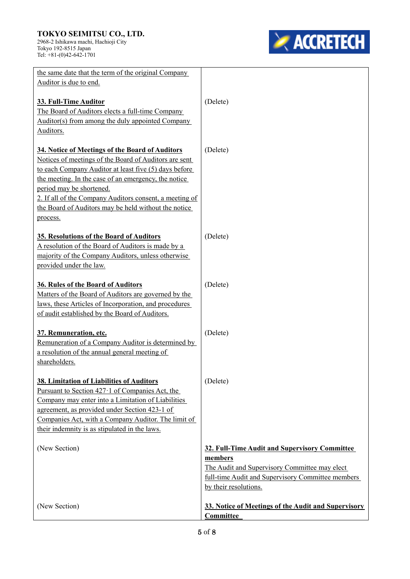#### **TOKYO SEIMITSU CO., LTD.**  2968-2 Ishikawa machi, Hachioji City Tokyo 192-8515 Japan

Tel: +81-(0)42-642-1701

**EXACCRETECH** 

| the same date that the term of the original Company<br>Auditor is due to end.                                                                                                                                                                                                                                                                                                        |                                                                                                                                                                                         |
|--------------------------------------------------------------------------------------------------------------------------------------------------------------------------------------------------------------------------------------------------------------------------------------------------------------------------------------------------------------------------------------|-----------------------------------------------------------------------------------------------------------------------------------------------------------------------------------------|
| 33. Full-Time Auditor                                                                                                                                                                                                                                                                                                                                                                | (Delete)                                                                                                                                                                                |
| The Board of Auditors elects a full-time Company<br>Auditor(s) from among the duly appointed Company                                                                                                                                                                                                                                                                                 |                                                                                                                                                                                         |
| Auditors.                                                                                                                                                                                                                                                                                                                                                                            |                                                                                                                                                                                         |
| 34. Notice of Meetings of the Board of Auditors<br>Notices of meetings of the Board of Auditors are sent<br>to each Company Auditor at least five (5) days before<br>the meeting. In the case of an emergency, the notice<br>period may be shortened.<br>2. If all of the Company Auditors consent, a meeting of<br>the Board of Auditors may be held without the notice<br>process. | (Delete)                                                                                                                                                                                |
| 35. Resolutions of the Board of Auditors<br>A resolution of the Board of Auditors is made by a<br>majority of the Company Auditors, unless otherwise<br>provided under the law.                                                                                                                                                                                                      | (Delete)                                                                                                                                                                                |
| 36. Rules of the Board of Auditors<br>Matters of the Board of Auditors are governed by the<br>laws, these Articles of Incorporation, and procedures<br>of audit established by the Board of Auditors.                                                                                                                                                                                | (Delete)                                                                                                                                                                                |
| 37. Remuneration, etc.<br>Remuneration of a Company Auditor is determined by<br>a resolution of the annual general meeting of<br>shareholders.                                                                                                                                                                                                                                       | (Delete)                                                                                                                                                                                |
| 38. Limitation of Liabilities of Auditors<br>Pursuant to Section $427 \cdot 1$ of Companies Act, the<br>Company may enter into a Limitation of Liabilities<br>agreement, as provided under Section 423-1 of<br>Companies Act, with a Company Auditor. The limit of<br>their indemnity is as stipulated in the laws.                                                                  | (Delete)                                                                                                                                                                                |
| (New Section)                                                                                                                                                                                                                                                                                                                                                                        | 32. Full-Time Audit and Supervisory Committee<br>members<br>The Audit and Supervisory Committee may elect<br>full-time Audit and Supervisory Committee members<br>by their resolutions. |
| (New Section)                                                                                                                                                                                                                                                                                                                                                                        | 33. Notice of Meetings of the Audit and Supervisory<br>Committee                                                                                                                        |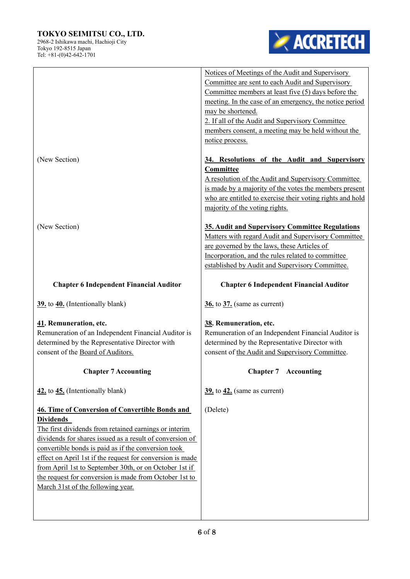## **TOKYO SEIMITSU CO., LTD.**

2968-2 Ishikawa machi, Hachioji City Tokyo 192-8515 Japan Tel: +81-(0)42-642-1701



|                                                                                                                                                                      | Notices of Meetings of the Audit and Supervisory<br>Committee are sent to each Audit and Supervisory<br>Committee members at least five (5) days before the<br>meeting. In the case of an emergency, the notice period<br>may be shortened.<br>2. If all of the Audit and Supervisory Committee<br>members consent, a meeting may be held without the<br>notice process. |
|----------------------------------------------------------------------------------------------------------------------------------------------------------------------|--------------------------------------------------------------------------------------------------------------------------------------------------------------------------------------------------------------------------------------------------------------------------------------------------------------------------------------------------------------------------|
| (New Section)                                                                                                                                                        | 34. Resolutions of the Audit and Supervisory<br>Committee<br>A resolution of the Audit and Supervisory Committee<br>is made by a majority of the votes the members present<br>who are entitled to exercise their voting rights and hold<br>majority of the voting rights.                                                                                                |
| (New Section)                                                                                                                                                        | 35. Audit and Supervisory Committee Regulations<br>Matters with regard Audit and Supervisory Committee<br>are governed by the laws, these Articles of<br>Incorporation, and the rules related to committee<br>established by Audit and Supervisory Committee.                                                                                                            |
| <b>Chapter 6 Independent Financial Auditor</b>                                                                                                                       | <b>Chapter 6 Independent Financial Auditor</b>                                                                                                                                                                                                                                                                                                                           |
| 39. to 40. (Intentionally blank)                                                                                                                                     | $36.$ to $37.$ (same as current)                                                                                                                                                                                                                                                                                                                                         |
| 41. Remuneration, etc.<br>Remuneration of an Independent Financial Auditor is<br>determined by the Representative Director with<br>consent of the Board of Auditors. | 38. Remuneration, etc.<br>Remuneration of an Independent Financial Auditor is<br>determined by the Representative Director with<br>consent of the Audit and Supervisory Committee.                                                                                                                                                                                       |
| <b>Chapter 7 Accounting</b>                                                                                                                                          | <b>Chapter 7</b> Accounting                                                                                                                                                                                                                                                                                                                                              |
| 42. to 45. (Intentionally blank)                                                                                                                                     | $39.$ to $42.$ (same as current)                                                                                                                                                                                                                                                                                                                                         |
| 46. Time of Conversion of Convertible Bonds and<br><b>Dividends</b>                                                                                                  | (Delete)                                                                                                                                                                                                                                                                                                                                                                 |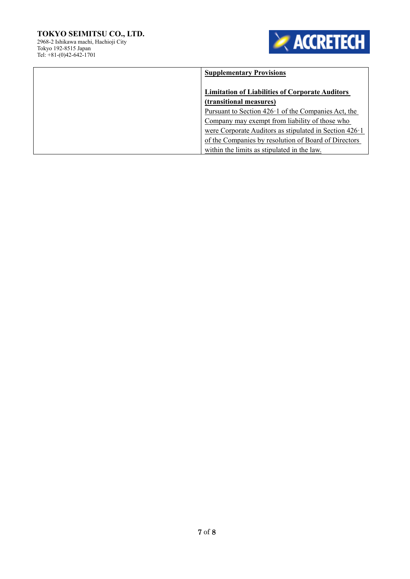## **TOKYO SEIMITSU CO., LTD.**  2968-2 Ishikawa machi, Hachioji City Tokyo 192-8515 Japan

**EXACCRETECH** 

Tel: +81-(0)42-642-1701

| <b>Supplementary Provisions</b>                                |
|----------------------------------------------------------------|
| <b>Limitation of Liabilities of Corporate Auditors</b>         |
| (transitional measures)                                        |
| Pursuant to Section $426 \cdot 1$ of the Companies Act, the    |
| Company may exempt from liability of those who                 |
| were Corporate Auditors as stipulated in Section $426 \cdot 1$ |
| of the Companies by resolution of Board of Directors           |
| within the limits as stipulated in the law.                    |